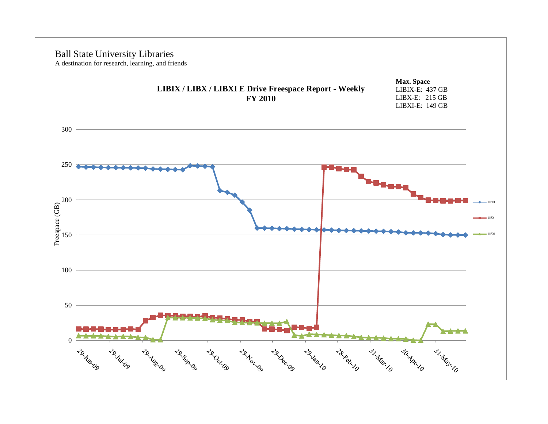# $\Omega$ 50 100 200<br>Free page<br>150 200 250 300 LIBIX LIBX LIBXI Ball State University Libraries A destination for research, learning, and friends Freespace (GB) **Max. Space** LIBIX-E: 437 GB LIBX-E: 215 GB LIBXI-E: 149 GB **LIBIX / LIBX / LIBXI E Drive Freespace Report - Weekly FY 2010**

Lake Margo

29. Datida

29. Mil. 09

29-August 29-August 29-August

29. Jun. 09

29. Dec. 09

29.18.10

28 Haven 31 Mar. 10 30 Mar. 10

31. May 10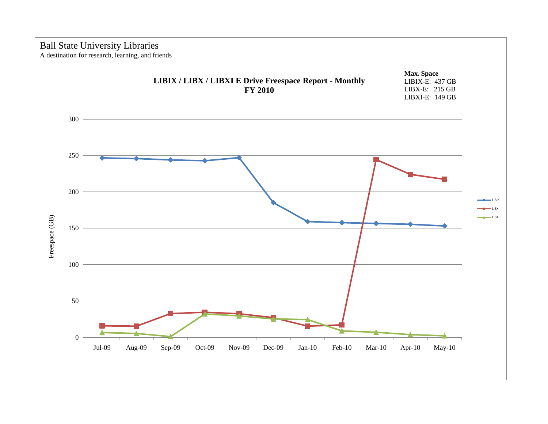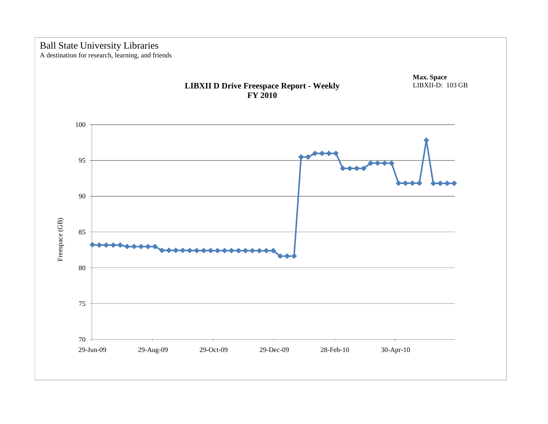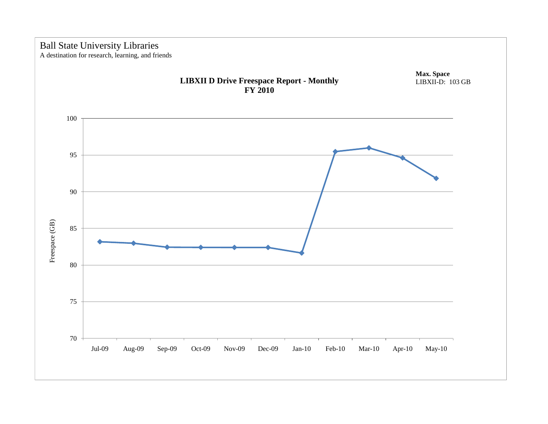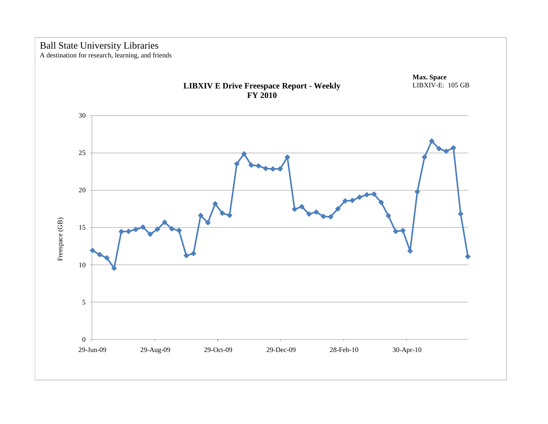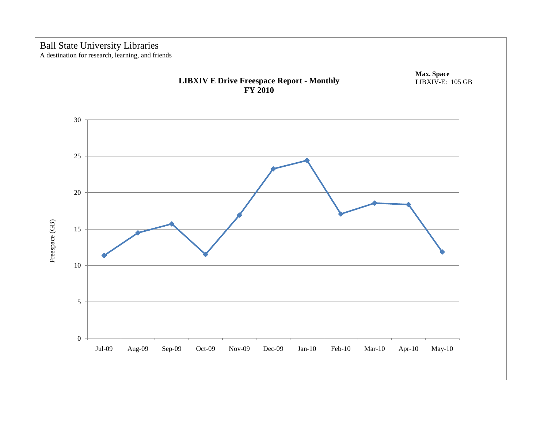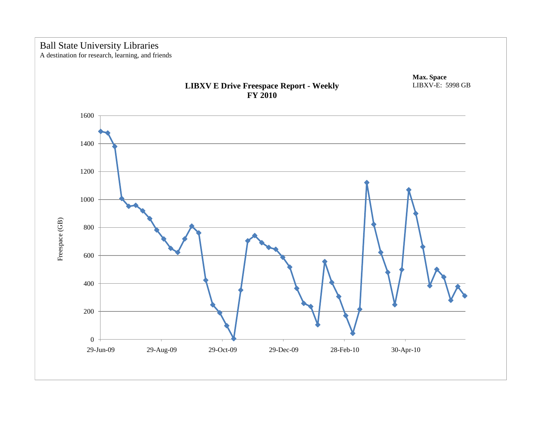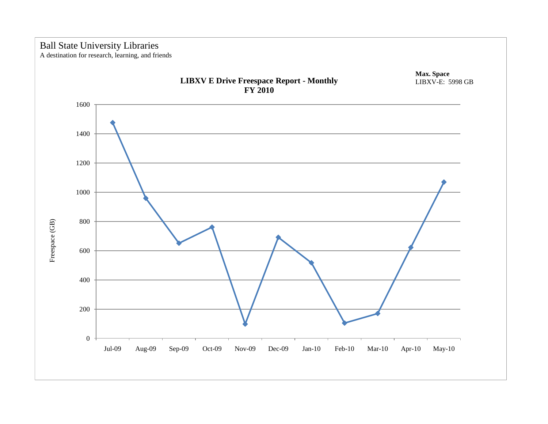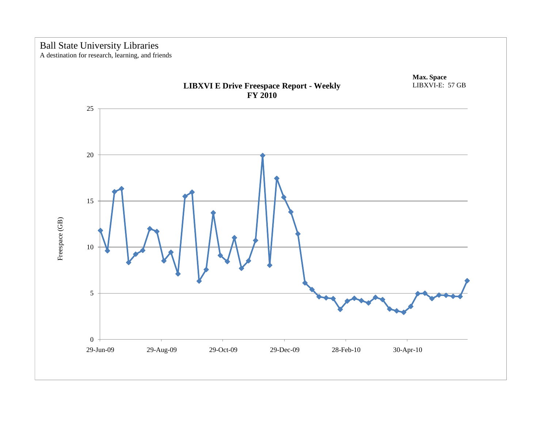

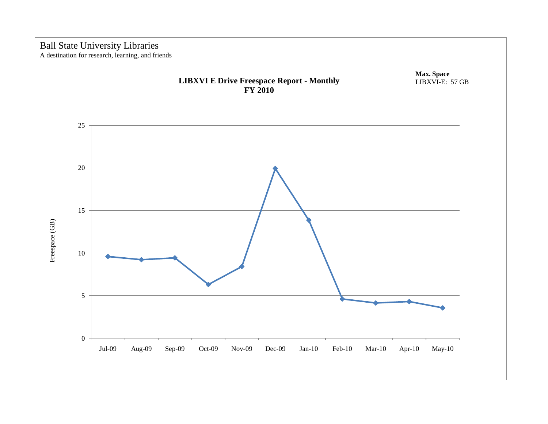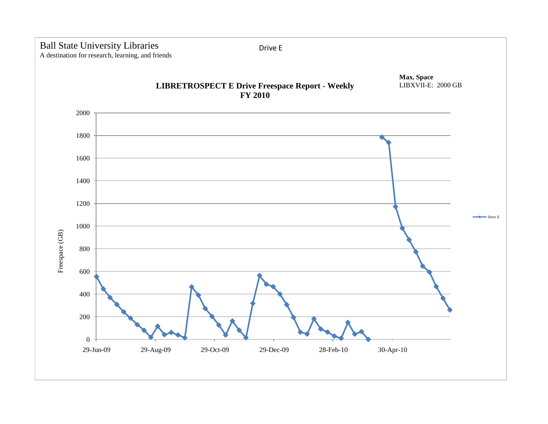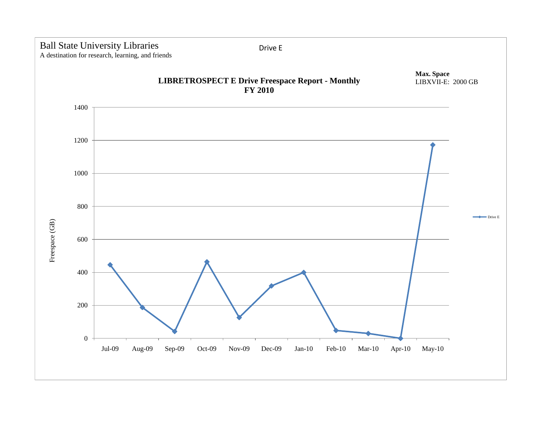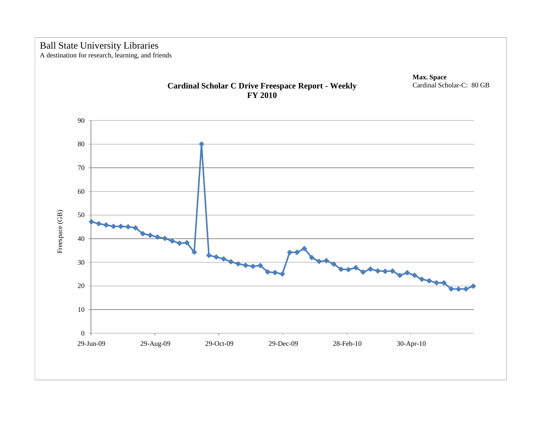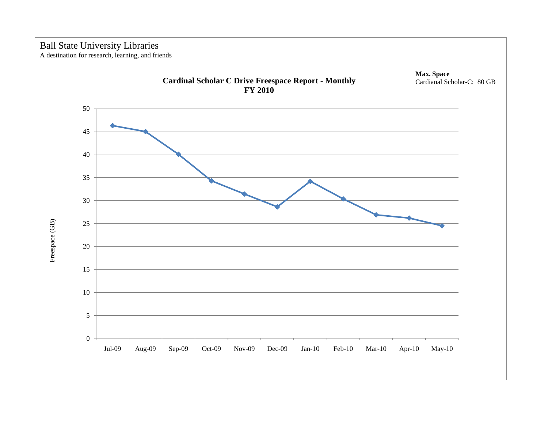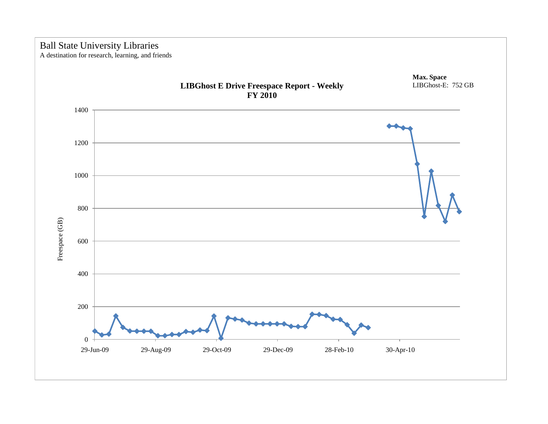